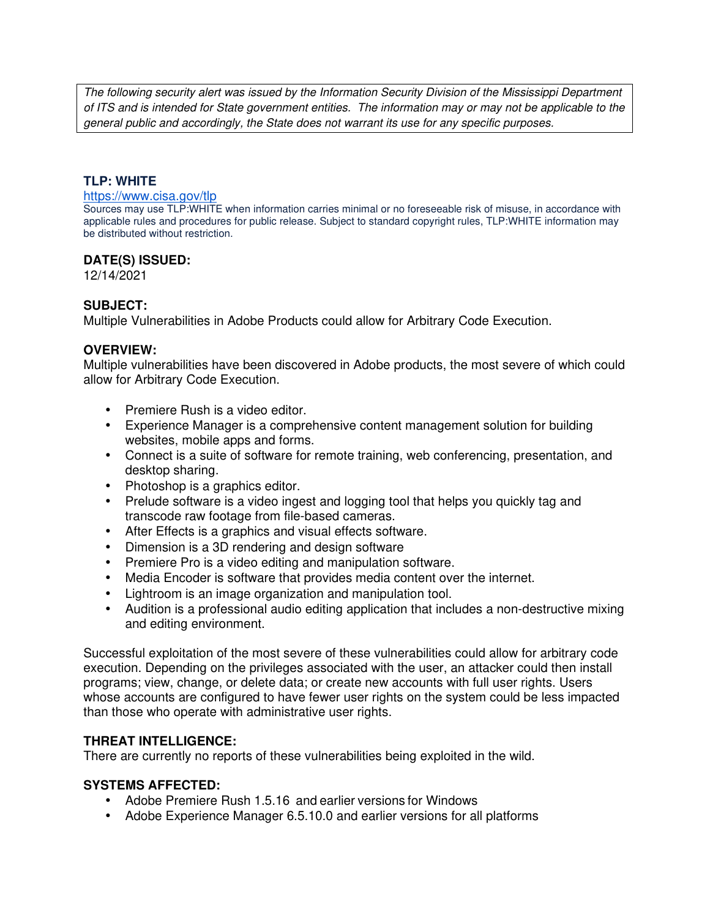The following security alert was issued by the Information Security Division of the Mississippi Department of ITS and is intended for State government entities. The information may or may not be applicable to the general public and accordingly, the State does not warrant its use for any specific purposes.

## **TLP: WHITE**

#### https://www.cisa.gov/tlp

Sources may use TLP:WHITE when information carries minimal or no foreseeable risk of misuse, in accordance with applicable rules and procedures for public release. Subject to standard copyright rules, TLP:WHITE information may be distributed without restriction.

### **DATE(S) ISSUED:**

12/14/2021

## **SUBJECT:**

Multiple Vulnerabilities in Adobe Products could allow for Arbitrary Code Execution.

### **OVERVIEW:**

Multiple vulnerabilities have been discovered in Adobe products, the most severe of which could allow for Arbitrary Code Execution.

- Premiere Rush is a video editor.
- Experience Manager is a comprehensive content management solution for building websites, mobile apps and forms.
- Connect is a suite of software for remote training, web conferencing, presentation, and desktop sharing.
- Photoshop is a graphics editor.
- Prelude software is a video ingest and logging tool that helps you quickly tag and transcode raw footage from file-based cameras.
- After Effects is a graphics and visual effects software.
- Dimension is a 3D rendering and design software
- Premiere Pro is a video editing and manipulation software.
- Media Encoder is software that provides media content over the internet.
- Lightroom is an image organization and manipulation tool.
- Audition is a professional audio editing application that includes a non-destructive mixing and editing environment.

Successful exploitation of the most severe of these vulnerabilities could allow for arbitrary code execution. Depending on the privileges associated with the user, an attacker could then install programs; view, change, or delete data; or create new accounts with full user rights. Users whose accounts are configured to have fewer user rights on the system could be less impacted than those who operate with administrative user rights.

## **THREAT INTELLIGENCE:**

There are currently no reports of these vulnerabilities being exploited in the wild.

### **SYSTEMS AFFECTED:**

- Adobe Premiere Rush 1.5.16 and earlier versions for Windows
- Adobe Experience Manager 6.5.10.0 and earlier versions for all platforms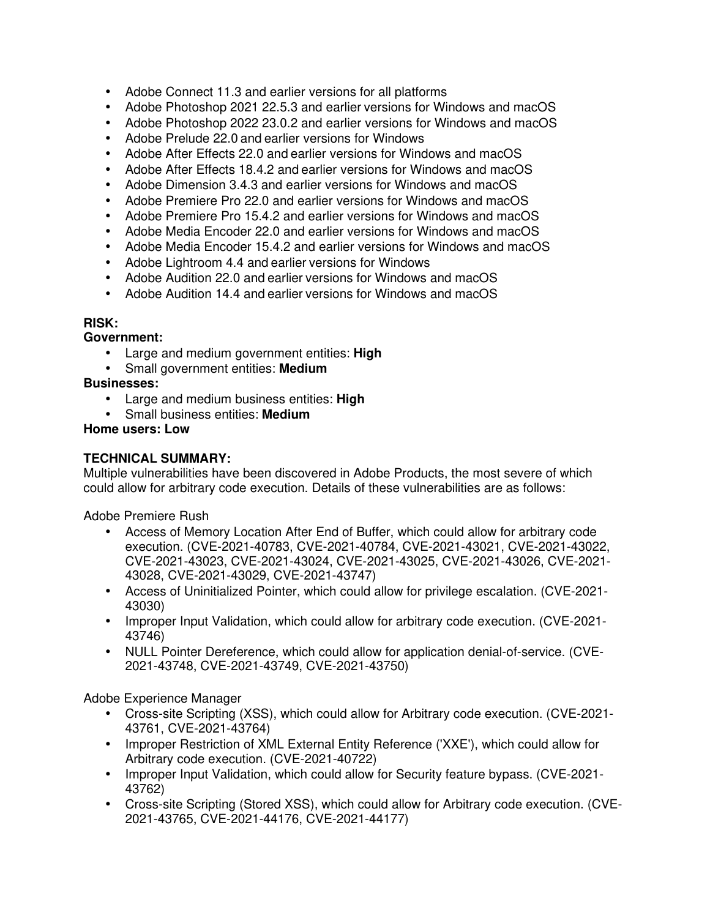- Adobe Connect 11.3 and earlier versions for all platforms
- Adobe Photoshop 2021 22.5.3 and earlier versions for Windows and macOS
- Adobe Photoshop 2022 23.0.2 and earlier versions for Windows and macOS
- Adobe Prelude 22.0 and earlier versions for Windows
- Adobe After Effects 22.0 and earlier versions for Windows and macOS
- Adobe After Effects 18.4.2 and earlier versions for Windows and macOS
- Adobe Dimension 3.4.3 and earlier versions for Windows and macOS
- Adobe Premiere Pro 22.0 and earlier versions for Windows and macOS
- Adobe Premiere Pro 15.4.2 and earlier versions for Windows and macOS
- Adobe Media Encoder 22.0 and earlier versions for Windows and macOS
- Adobe Media Encoder 15.4.2 and earlier versions for Windows and macOS
- Adobe Lightroom 4.4 and earlier versions for Windows
- Adobe Audition 22.0 and earlier versions for Windows and macOS
- Adobe Audition 14.4 and earlier versions for Windows and macOS

# **RISK:**

**Government:**

- Large and medium government entities: **High**
- Small government entities: **Medium**

## **Businesses:**

- Large and medium business entities: **High**
- Small business entities: **Medium**

# **Home users: Low**

# **TECHNICAL SUMMARY:**

Multiple vulnerabilities have been discovered in Adobe Products, the most severe of which could allow for arbitrary code execution. Details of these vulnerabilities are as follows:

Adobe Premiere Rush

- Access of Memory Location After End of Buffer, which could allow for arbitrary code execution. (CVE-2021-40783, CVE-2021-40784, CVE-2021-43021, CVE-2021-43022, CVE-2021-43023, CVE-2021-43024, CVE-2021-43025, CVE-2021-43026, CVE-2021- 43028, CVE-2021-43029, CVE-2021-43747)
- Access of Uninitialized Pointer, which could allow for privilege escalation. (CVE-2021- 43030)
- Improper Input Validation, which could allow for arbitrary code execution. (CVE-2021- 43746)
- NULL Pointer Dereference, which could allow for application denial-of-service. (CVE-2021-43748, CVE-2021-43749, CVE-2021-43750)

Adobe Experience Manager

- Cross-site Scripting (XSS), which could allow for Arbitrary code execution. (CVE-2021- 43761, CVE-2021-43764)
- Improper Restriction of XML External Entity Reference ('XXE'), which could allow for Arbitrary code execution. (CVE-2021-40722)
- Improper Input Validation, which could allow for Security feature bypass. (CVE-2021- 43762)
- Cross-site Scripting (Stored XSS), which could allow for Arbitrary code execution. (CVE-2021-43765, CVE-2021-44176, CVE-2021-44177)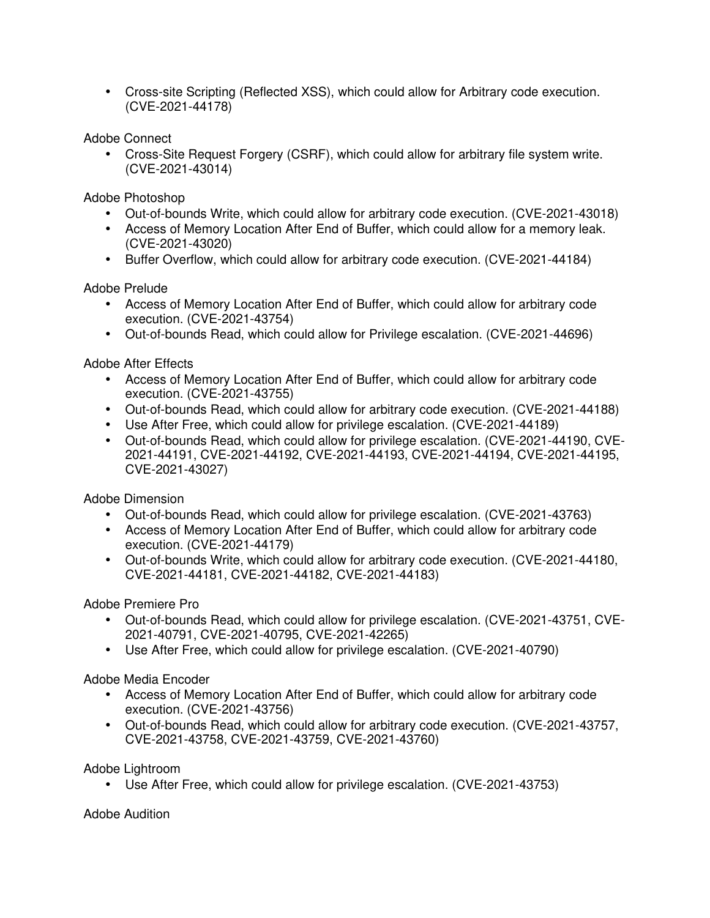• Cross-site Scripting (Reflected XSS), which could allow for Arbitrary code execution. (CVE-2021-44178)

Adobe Connect

• Cross-Site Request Forgery (CSRF), which could allow for arbitrary file system write. (CVE-2021-43014)

Adobe Photoshop

- Out-of-bounds Write, which could allow for arbitrary code execution. (CVE-2021-43018)
- Access of Memory Location After End of Buffer, which could allow for a memory leak. (CVE-2021-43020)
- Buffer Overflow, which could allow for arbitrary code execution. (CVE-2021-44184)

Adobe Prelude

- Access of Memory Location After End of Buffer, which could allow for arbitrary code execution. (CVE-2021-43754)
- Out-of-bounds Read, which could allow for Privilege escalation. (CVE-2021-44696)

Adobe After Effects

- Access of Memory Location After End of Buffer, which could allow for arbitrary code execution. (CVE-2021-43755)
- Out-of-bounds Read, which could allow for arbitrary code execution. (CVE-2021-44188)
- Use After Free, which could allow for privilege escalation. (CVE-2021-44189)
- Out-of-bounds Read, which could allow for privilege escalation. (CVE-2021-44190, CVE-2021-44191, CVE-2021-44192, CVE-2021-44193, CVE-2021-44194, CVE-2021-44195, CVE-2021-43027)

Adobe Dimension

- Out-of-bounds Read, which could allow for privilege escalation. (CVE-2021-43763)
- Access of Memory Location After End of Buffer, which could allow for arbitrary code execution. (CVE-2021-44179)
- Out-of-bounds Write, which could allow for arbitrary code execution. (CVE-2021-44180, CVE-2021-44181, CVE-2021-44182, CVE-2021-44183)

Adobe Premiere Pro

- Out-of-bounds Read, which could allow for privilege escalation. (CVE-2021-43751, CVE-2021-40791, CVE-2021-40795, CVE-2021-42265)
- Use After Free, which could allow for privilege escalation. (CVE-2021-40790)

Adobe Media Encoder

- Access of Memory Location After End of Buffer, which could allow for arbitrary code execution. (CVE-2021-43756)
- Out-of-bounds Read, which could allow for arbitrary code execution. (CVE-2021-43757, CVE-2021-43758, CVE-2021-43759, CVE-2021-43760)

Adobe Lightroom

• Use After Free, which could allow for privilege escalation. (CVE-2021-43753)

Adobe Audition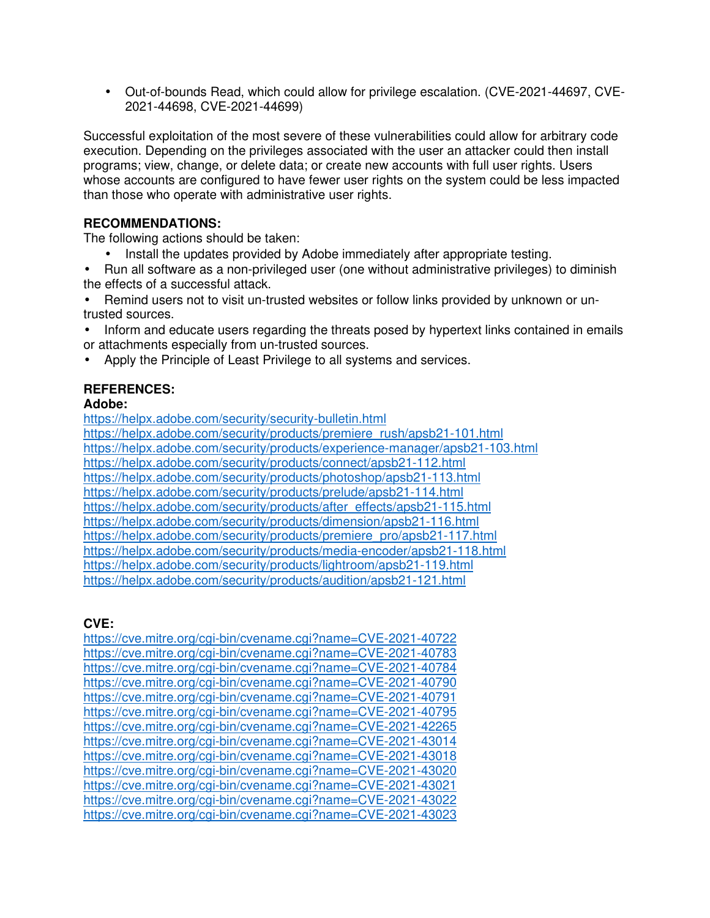• Out-of-bounds Read, which could allow for privilege escalation. (CVE-2021-44697, CVE-2021-44698, CVE-2021-44699)

Successful exploitation of the most severe of these vulnerabilities could allow for arbitrary code execution. Depending on the privileges associated with the user an attacker could then install programs; view, change, or delete data; or create new accounts with full user rights. Users whose accounts are configured to have fewer user rights on the system could be less impacted than those who operate with administrative user rights.

## **RECOMMENDATIONS:**

The following actions should be taken:

• Install the updates provided by Adobe immediately after appropriate testing.

• Run all software as a non-privileged user (one without administrative privileges) to diminish the effects of a successful attack.

• Remind users not to visit un-trusted websites or follow links provided by unknown or untrusted sources.

- Inform and educate users regarding the threats posed by hypertext links contained in emails or attachments especially from un-trusted sources.
- Apply the Principle of Least Privilege to all systems and services.

## **REFERENCES:**

### **Adobe:**

https://helpx.adobe.com/security/security-bulletin.html https://helpx.adobe.com/security/products/premiere\_rush/apsb21-101.html https://helpx.adobe.com/security/products/experience-manager/apsb21-103.html https://helpx.adobe.com/security/products/connect/apsb21-112.html https://helpx.adobe.com/security/products/photoshop/apsb21-113.html https://helpx.adobe.com/security/products/prelude/apsb21-114.html https://helpx.adobe.com/security/products/after\_effects/apsb21-115.html https://helpx.adobe.com/security/products/dimension/apsb21-116.html https://helpx.adobe.com/security/products/premiere\_pro/apsb21-117.html https://helpx.adobe.com/security/products/media-encoder/apsb21-118.html https://helpx.adobe.com/security/products/lightroom/apsb21-119.html https://helpx.adobe.com/security/products/audition/apsb21-121.html

# **CVE:**

https://cve.mitre.org/cgi-bin/cvename.cgi?name=CVE-2021-40722 https://cve.mitre.org/cgi-bin/cvename.cgi?name=CVE-2021-40783 https://cve.mitre.org/cgi-bin/cvename.cgi?name=CVE-2021-40784 https://cve.mitre.org/cgi-bin/cvename.cgi?name=CVE-2021-40790 https://cve.mitre.org/cgi-bin/cvename.cgi?name=CVE-2021-40791 https://cve.mitre.org/cgi-bin/cvename.cgi?name=CVE-2021-40795 https://cve.mitre.org/cgi-bin/cvename.cgi?name=CVE-2021-42265 https://cve.mitre.org/cgi-bin/cvename.cgi?name=CVE-2021-43014 https://cve.mitre.org/cgi-bin/cvename.cgi?name=CVE-2021-43018 https://cve.mitre.org/cgi-bin/cvename.cgi?name=CVE-2021-43020 https://cve.mitre.org/cgi-bin/cvename.cgi?name=CVE-2021-43021 https://cve.mitre.org/cgi-bin/cvename.cgi?name=CVE-2021-43022 https://cve.mitre.org/cgi-bin/cvename.cgi?name=CVE-2021-43023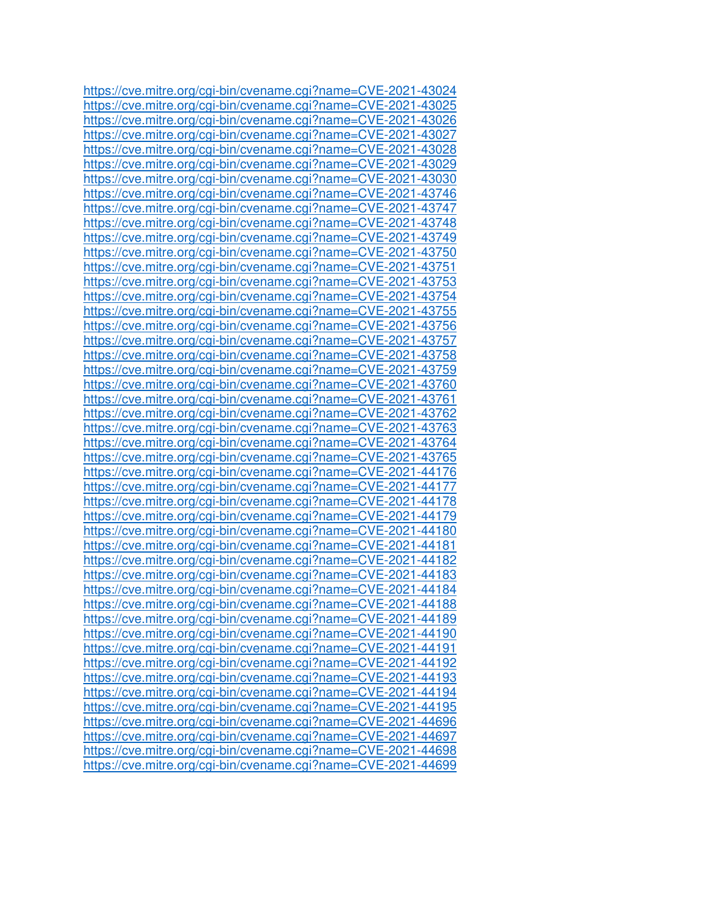https://cve.mitre.org/cgi-bin/cvename.cgi?name=CVE-2021-43024 https://cve.mitre.org/cgi-bin/cvename.cgi?name=CVE-2021-43025 https://cve.mitre.org/cgi-bin/cvename.cgi?name=CVE-2021-43026 https://cve.mitre.org/cgi-bin/cvename.cgi?name=CVE-2021-43027 https://cve.mitre.org/cgi-bin/cvename.cgi?name=CVE-2021-43028 https://cve.mitre.org/cgi-bin/cvename.cgi?name=CVE-2021-43029 https://cve.mitre.org/cgi-bin/cvename.cgi?name=CVE-2021-43030 https://cve.mitre.org/cgi-bin/cvename.cgi?name=CVE-2021-43746 https://cve.mitre.org/cgi-bin/cvename.cgi?name=CVE-2021-43747 https://cve.mitre.org/cgi-bin/cvename.cgi?name=CVE-2021-43748 https://cve.mitre.org/cgi-bin/cvename.cgi?name=CVE-2021-43749 https://cve.mitre.org/cgi-bin/cvename.cgi?name=CVE-2021-43750 https://cve.mitre.org/cgi-bin/cvename.cgi?name=CVE-2021-43751 https://cve.mitre.org/cgi-bin/cvename.cgi?name=CVE-2021-43753 https://cve.mitre.org/cgi-bin/cvename.cgi?name=CVE-2021-43754 https://cve.mitre.org/cgi-bin/cvename.cgi?name=CVE-2021-43755 https://cve.mitre.org/cgi-bin/cvename.cgi?name=CVE-2021-43756 https://cve.mitre.org/cgi-bin/cvename.cgi?name=CVE-2021-43757 https://cve.mitre.org/cgi-bin/cvename.cgi?name=CVE-2021-43758 https://cve.mitre.org/cgi-bin/cvename.cgi?name=CVE-2021-43759 https://cve.mitre.org/cgi-bin/cvename.cgi?name=CVE-2021-43760 https://cve.mitre.org/cgi-bin/cvename.cgi?name=CVE-2021-43761 https://cve.mitre.org/cgi-bin/cvename.cgi?name=CVE-2021-43762 https://cve.mitre.org/cgi-bin/cvename.cgi?name=CVE-2021-43763 https://cve.mitre.org/cgi-bin/cvename.cgi?name=CVE-2021-43764 https://cve.mitre.org/cgi-bin/cvename.cgi?name=CVE-2021-43765 https://cve.mitre.org/cgi-bin/cvename.cgi?name=CVE-2021-44176 https://cve.mitre.org/cgi-bin/cvename.cgi?name=CVE-2021-44177 https://cve.mitre.org/cgi-bin/cvename.cgi?name=CVE-2021-44178 https://cve.mitre.org/cgi-bin/cvename.cgi?name=CVE-2021-44179 https://cve.mitre.org/cgi-bin/cvename.cgi?name=CVE-2021-44180 https://cve.mitre.org/cgi-bin/cvename.cgi?name=CVE-2021-44181 https://cve.mitre.org/cgi-bin/cvename.cgi?name=CVE-2021-44182 https://cve.mitre.org/cgi-bin/cvename.cgi?name=CVE-2021-44183 https://cve.mitre.org/cgi-bin/cvename.cgi?name=CVE-2021-44184 https://cve.mitre.org/cgi-bin/cvename.cgi?name=CVE-2021-44188 https://cve.mitre.org/cgi-bin/cvename.cgi?name=CVE-2021-44189 https://cve.mitre.org/cgi-bin/cvename.cgi?name=CVE-2021-44190 https://cve.mitre.org/cgi-bin/cvename.cgi?name=CVE-2021-44191 https://cve.mitre.org/cgi-bin/cvename.cgi?name=CVE-2021-44192 https://cve.mitre.org/cgi-bin/cvename.cgi?name=CVE-2021-44193 https://cve.mitre.org/cgi-bin/cvename.cgi?name=CVE-2021-44194 https://cve.mitre.org/cgi-bin/cvename.cgi?name=CVE-2021-44195 https://cve.mitre.org/cgi-bin/cvename.cgi?name=CVE-2021-44696 https://cve.mitre.org/cgi-bin/cvename.cgi?name=CVE-2021-44697 https://cve.mitre.org/cgi-bin/cvename.cgi?name=CVE-2021-44698 https://cve.mitre.org/cgi-bin/cvename.cgi?name=CVE-2021-44699